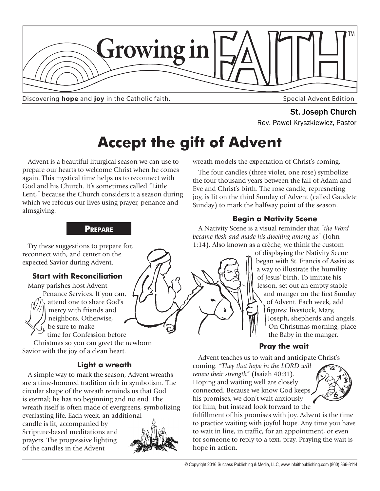

Discovering **hope** and joy in the Catholic faith.

**St. Joseph Church**<br>Rev. Pawel Kryszkiewicz, Pastor

# **Accept the gift of Advent**

Advent is a beautiful liturgical season we can use to prepare our hearts to welcome Christ when he comes again. This mystical time helps us to reconnect with God and his Church. It's sometimes called "Little Lent," because the Church considers it a season during which we refocus our lives using prayer, penance and almsgiving.

#### **Prepare**

Try these suggestions to prepare for, reconnect with, and center on the expected Savior during Advent.

#### **Start with Reconciliation**

Many parishes host Advent Penance Services. If you can, attend one to share God's mercy with friends and neighbors. Otherwise, be sure to make time for Confession before

Christmas so you can greet the newborn Savior with the joy of a clean heart.

#### **Light a wreath**

A simple way to mark the season, Advent wreaths are a time-honored tradition rich in symbolism. The circular shape of the wreath reminds us that God is eternal; he has no beginning and no end. The wreath itself is often made of evergreens, symbolizing everlasting life. Each week, an additional

candle is lit, accompanied by Scripture-based meditations and prayers. The progressive lighting of the candles in the Advent



#### wreath models the expectation of Christ's coming.

The four candles (three violet, one rose) symbolize the four thousand years between the fall of Adam and Eve and Christ's birth. The rose candle, represneting joy, is lit on the third Sunday of Advent (called Gaudete Sunday) to mark the halfway point of the season.

#### **Begin a Nativity Scene**

A Nativity Scene is a visual reminder that "*the Word became flesh and made his dwelling among us*" (John 1:14). Also known as a crèche, we think the custom

of displaying the Nativity Scene began with St. Francis of Assisi as a way to illustrate the humility of Jesus' birth. To imitate his lesson, set out an empty stable and manger on the first Sunday of Advent. Each week, add figures: livestock, Mary, Joseph, shepherds and angels. On Christmas morning, place the Baby in the manger.

#### **Pray the wait**

Advent teaches us to wait and anticipate Christ's

coming. *"They that hope in the LORD will renew their strength*" (Isaiah 40:31). Hoping and waiting well are closely connected. Because we know God keeps his promises, we don't wait anxiously for him, but instead look forward to the



fulfillment of his promises with joy. Advent is the time to practice waiting with joyful hope. Any time you have to wait in line, in traffic, for an appointment, or even for someone to reply to a text, pray. Praying the wait is hope in action.